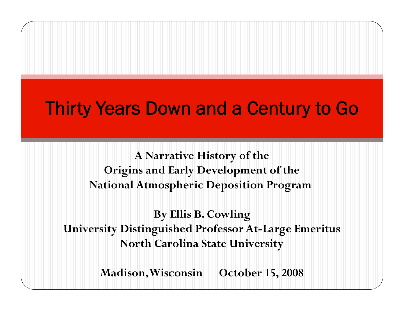**A Narrative History of the Ori g yp ins and Earl y Develo pment of the National Atmospheric Deposition Program**

**By Ellis B Cowling B. University Distinguished Professor At-Large Emeritus North Carolina State University** 

**Madison, Wisconsin October 15, 2008**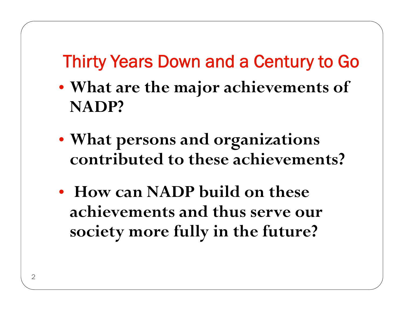- **What are the major achievements of NADP?**
- What persons and organizations **at persons and organ izations contributed to these achievements?**
- **How can NADP build on these achievements and thus serve our society more fully in the future?**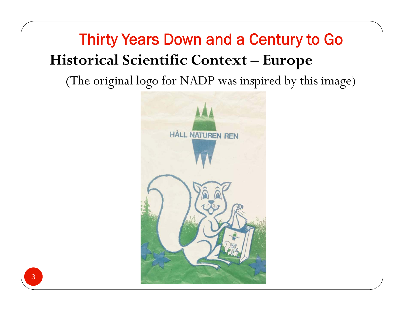## Thirty Years Down and a Century to Go **Historical Scientific Context - Europe**

### (The original logo for NADP was inspired by this image)

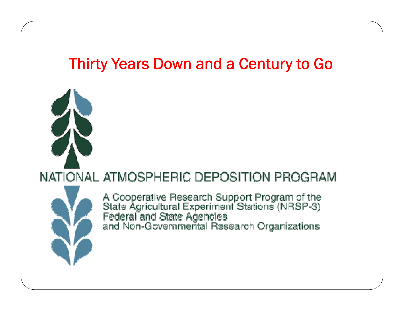

A Cooperative Research Support Program of the<br>State Agricultural Experiment Stations (NRSP-3)<br>Federal and State Agencies<br>and Non-Governmental Research Organizations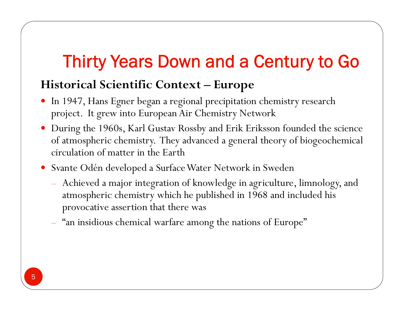#### **Historical Scientific Context – Europe**

- 0 In 1947, Hans Egner began a regional precipitation chemistry research project. It grew into European Air Chemistry Network
- 0 During the 1960s, Karl Gustav Rossby and Erik Eriksson founded the science of atmospheric chemistry. They advanced a general theory of biogeochemical circulation of matter in the Earth
- 0 Svante Odén developed a Surface Water Network in Sweden
	- Achieved a major integration of knowledge in agriculture, limnology, and atmospheric chemistry which he published in 1968 and included his provocative assertion that there was
	- "an insidious chemical warfare among the nations of Europe"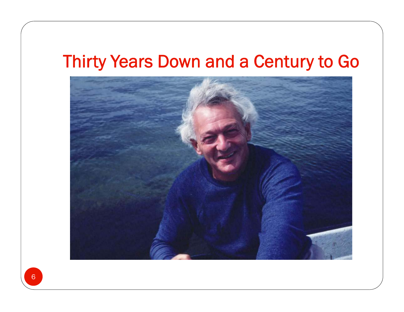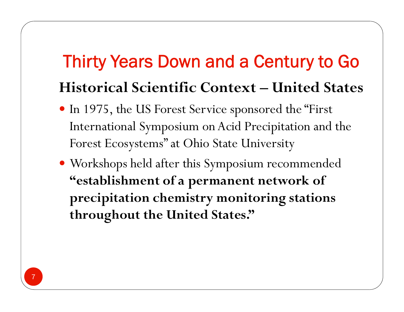# Thirty Years Down and a Century to Go **Historical Scientific Context – United States**

- In 1975, the US Forest Service sponsored the "First International Symposium on Acid Precipitation and the Forest Ecosystems" at Ohio State University
- Workshops held after this Symposium recommended **"establishment of a permanent network of precipitation chemistry monitoring stations throughout the United States."**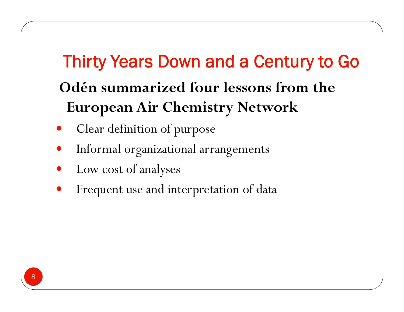# Thirty Years Down and a Century to Go **Odén summarized four lessons from the European Air Chemistry Network**

- $\bullet$ • Clear definition of purpose
- $\bullet$ Informal organizational arrangements
- $\bullet$ Low cost of anal yses
- $\bullet$ Frequent use and interpretation of data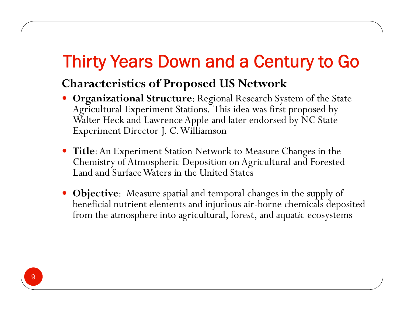#### **Characteristics of Proposed US Network**

- Organizational Structure: Regional Research System of the State<br>Agricultural Experiment Stations. This idea was first proposed by Walter Heck and Lawrence Apple and later endorsed by NC State Experiment Director J. C. Williamson
- **Title**: An Experiment Station Network to Measure Changes in the Chemistry of Atmospheric Deposition on Agricultural and Forested Land and Surface Waters in the United States
- **Objective**: Measure spatial and temporal changes in the supply of beneficial nutrient elements and injurious air-borne chemicals deposited from the atmosphere into agricultural, forest, and aquatic ecosystems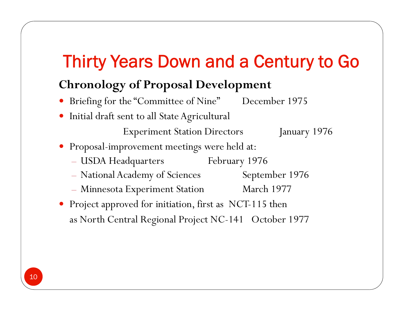### **Chronology of Proposal Development**

- Briefing for the "Committee of Nine" December 1975
- Initial draft sent to all State Agricultural

Experiment Station Directors January 1976

- Proposal-improvement meetings were held at:
	- USDA Headquarters February 1976
	- National Academy of Sciences September 1976
	- Minnesota Experiment Station March 1977
- Project approved for initiation, first as NCT-115 then as North Central Regional Project NC-141 October 1977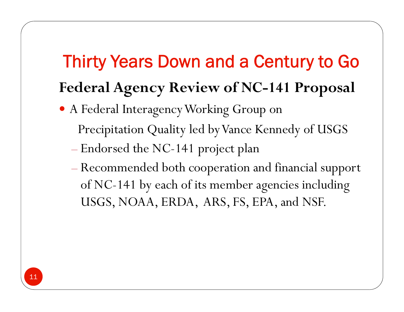# Thirty Years Down and a Century to Go **Federal A g y enc y Review of NC-141 Pro posa<sup>l</sup>**

- A Federal Interagency Working Group on Precipitation Quality led by Vance Kennedy of USGS
	- Endorsed the NC-141 project plan
	- Recommended both cooperation and financial support of NC-141 by each of its member agencies including USGS, NOAA, ERDA, ARS, FS, EPA, and NSF.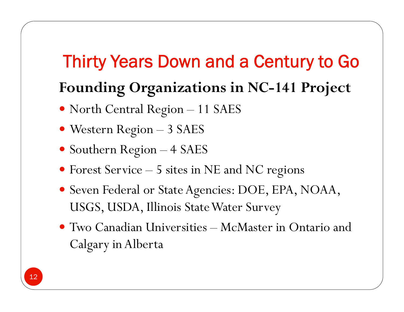### Thirty Years Down and a Century to Go **Foundin g g Or ganizations in NC-141 Project**

- North Central Region 11 SAES
- Western Re gion – 3 SAES
- Southern Region 4 SAES
- Forest Service 5 sites in NE and NC re gions
- Seven Federal or State Agencies: DOE, EPA, NOAA, USGS, USDA, Illinois State Water Surve y
- Two Canadian Universities McMaster in Ontario and Calgary in Alberta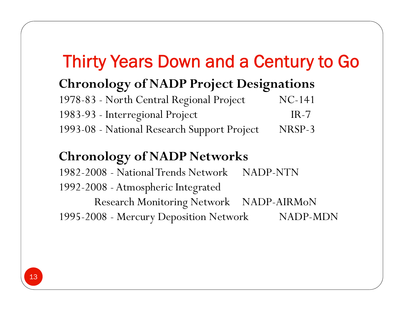### **Chronology of NADP Project Designations**

| 1978-83 - North Central Regional Project    | $NC-141$ |
|---------------------------------------------|----------|
| 1983-93 - Interregional Project             | $IR-7$   |
| 1993-08 - National Research Support Project | NRSP-3   |

#### **Chronology of NADP Networks**

1982 -2008 - National Trends Network NADP -NTN 1992-2008 - Atmospheric Integrated Research Monitoring Network NADP-AIRMoN 1995-2008 - Mercury Deposition Network NADP -MDN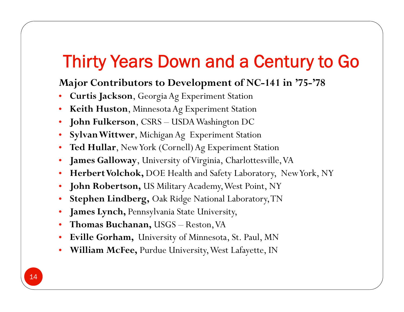#### **Major Contributors to Development of NC-141 in '75-'78**

- •**Curtis Jackson**, Georgia Ag Experiment Station
- •**Keith Huston**, Minnesota Ag Experiment Station
- •**John Fulkerson**, CSRS – USDA Washington DC
- •**Sylvan Wittwer**, Michigan Ag Experiment Station
- •**Ted Hullar**, New York (Cornell) Ag Experiment Station
- •**James Galloway**, University of Virginia, Charlottesville, VA
- •**Herbert Volchok,** DOE Health and Safety Laboratory, New York, NY
- •**John Robertson,** US Military Academy, West Point, NY
- •**Stephen Lindberg,** Oak Ridge National Laboratory, TN
- •**James Lynch,** Pennsylvania State University,
- •**Thomas Buchanan,** USGS – Reston, VA
- •**Eville Gorham,** University of Minnesota, St. Paul, MN
- •• William McFee, Purdue University, West Lafayette, IN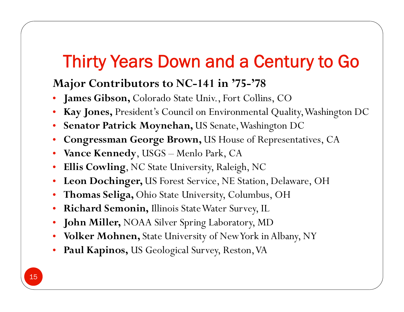#### **Major Contributors to NC-141 in '75-'78**

- •• James Gibson, Colorado State Univ., Fort Collins, CO
- •**Kay Jones,** President's Council on Environmental Quality, Washington DC
- •**Senator Patrick Moynehan,** US Senate, Washington DC
- •• Congressman George Brown, US House of Representatives, CA
- •**Vance Kennedy**, USGS – Menlo Park, CA
- •**Ellis Cowling**, NC State University, Raleigh, NC
- •**Leon Dochinger,** US Forest Service, NE Station, Delaware, OH
- $\bullet$ **Thomas Seliga,** Ohio State University, Columbus, OH
- •**Richard Semonin,** Illinois State Water Surve y, IL
- •**John Miller,** NOAA Silver Spring Laboratory, MD
- •**Volker Mohnen,** State University of New York in Albany, NY
- • $\bullet$  **Paul Kapinos,** US Geological Survey, Reston, VA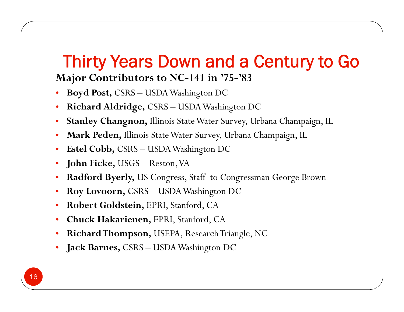### Thirty Years Down and a Century to Go **Major Contributors to NC-141 in '75-'83**

- • **Bo yd Post,** CSRS  $\mathbf{y}$ **d Post,** CSRS – USDA Washington DC
- •**Richard Aldridge,** CSRS – USDA Washington DC
- •**Stanley Changnon,** Illinois State Water Survey, Urbana Champaign, IL
- •Mark Peden, Illinois State Water Survey, Urbana Champaign, IL
- $\bullet$ **Estel Cobb,** CSRS – USDA Washington DC
- •**John Ficke,** USGS – Reston, VA
- •• Radford Byerly, US Congress, Staff to Congressman George Brown
- •**Roy Lovoorn,** CSRS – USDA Washington DC
- •**Robert Goldstein,** EPRI, Stanford, CA
- •**Chuck Hakarienen,** EPRI, Stanford, CA
- •**Richard Thompson,** USEPA, Research Triangle, NC
- •**Jack Barnes,** CSRS – USDA Washington DC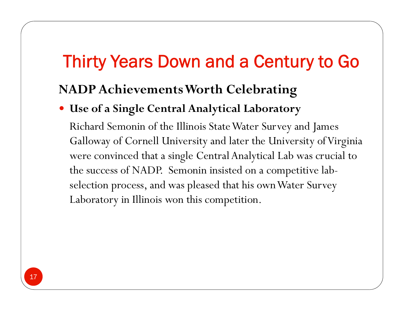### **NADP Achievements Worth Celebratin g**

#### **Use of a Single Central Analytical Laboratory**

Richard Semonin of the Illinois State Water Survey and James Galloway of Cornell University and later the University of Virginia were convinced that a single Central Analytical Lab was crucial to the success of NADP. Semonin insisted on a com petitive labselection process, and was pleased that his own Water Survey Laboratory in Illinois won this competition.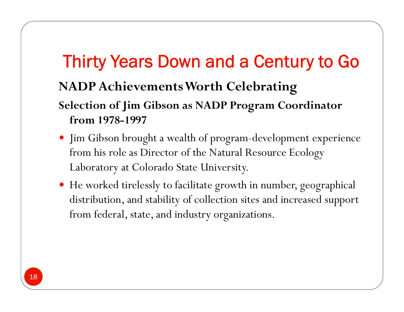### **NADP Achievements Worth Celebrating**

#### **Selection of Jim Gibson as NADP Program Coordinator from 1978-1997**

- · Jim Gibson brought a wealth of program-development experience from his role as Director of the Natural Resource Ecology Laboratory at Colorado State University.
- He worked tirelessly to facilitate growth in number, geographical distribution, and stability of collection sites and increased support from federal, state, and industry organizations.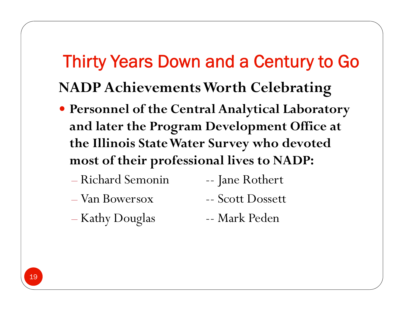# Thirty Years Down and a Century to Go **NADP Achievements Worth Celebrating**

- Personnel of the Central Analytical Laboratory and later the Program Development Office at the Illinois State Water Survey who devoted most of their professional lives to NADP:
	- Richard Semonin
	- Van Bowersox

-- Jane Rothert -- Scott Dossett

- Kathy Douglas

-- Mark Peden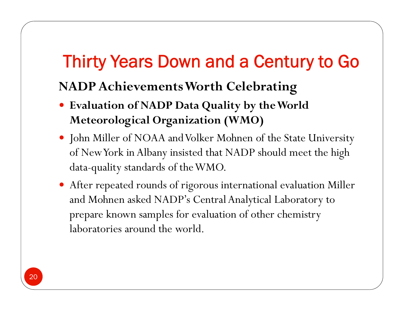### **NADP Achievements Worth Celebrating**

- **Evaluation of NADP Data Quality by the World Meteorological Organization (WMO)**
- John Miller of NOAA and Volker Mohnen of the State University of New York in Albany insisted that NADP should meet the high data-quality standards of the WMO.
- After repeated rounds of rigorous international evaluation Miller and Mohnen asked NADP's Central Analytical Laboratory to prepare known samples for evaluation of other chemistry laboratories around the world.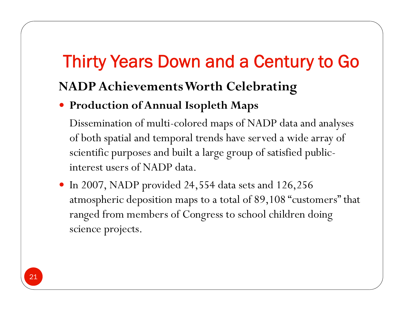### **NADP Achievements Worth Celebrating**

### **Production of Annual Isopleth Maps**

Dissemination of multi-colored maps of NADP data and analyses of both spatial and temporal trends have served a wide array of scientific purposes and built a large group of satisfied publicinterest users of NADP data.

 In 2007, NADP provided 24,554 data sets and 126,256 atmospheric deposition maps to a total of 89,108 "customers" that ranged from members of Congress to school children doing science projects.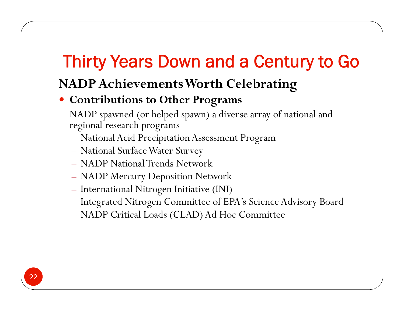### **NADP Achievements Worth Celebrating**

#### **C t ib ti t Oth P Con rib utions o Other Programs**

NADP spawned (or helped spawn) a diverse array of national and regional research programs

- National Acid Precipitation Assessment Program
- National Surface Water Survey
- NADP National Trends Network
- NADP Mercury Deposition Network
- International Nitrogen Initiative (INI)
- Integrated Nitrogen Committee of EPA's Science Advisory Board
- NADP Critical Loads (CLAD) Ad Hoc Committee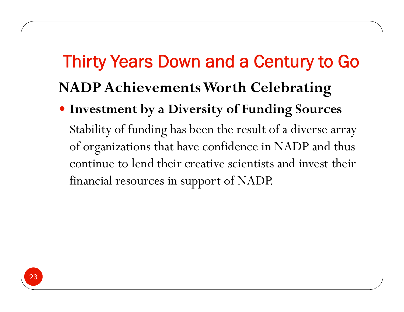### Thirty Years Down and a Century to Go **NADP Achievements Worth Celebratin g**

 **Investment by a Diversity of Funding Sources** Stability of funding has been the result of a diverse array of organizations that have confidence in NADP and thus continue to lend their creative scientists and invest their financial resources in support of NADP.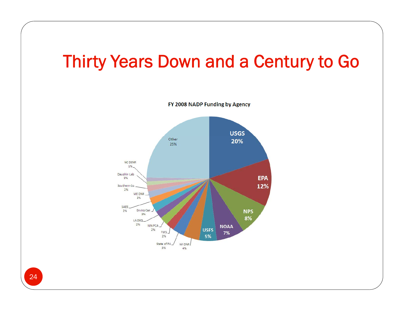

FY 2008 NADP Funding by Agency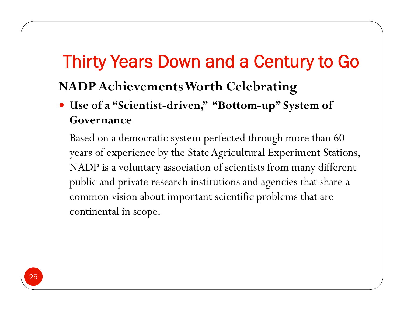### **NADP Achievements Worth Celebrating**

 **Use of a "Scientist-driven," "Bottom-up" System of Governance** 

Based on a democratic system perfected through more than 60  $\,$ years of experience by the State Agricultural Experiment Stations, NADP is a voluntary association of scientists from many different public and private research institutions and agencies that share a common vision about important scientific problems that are continental in scope.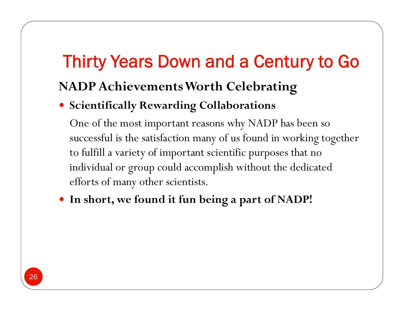### **NADP Achievements Worth Celebrating**

#### **Scientifically Rewarding Collaborations**

One of the most important reasons why NADP has been so successful is the satisfaction many of us found in working together to fulfill a variety of important scientific purposes that no individual or group could accomplish without the dedicated efforts of many other scientists.

**In short, we found it fun being a part of NADP!**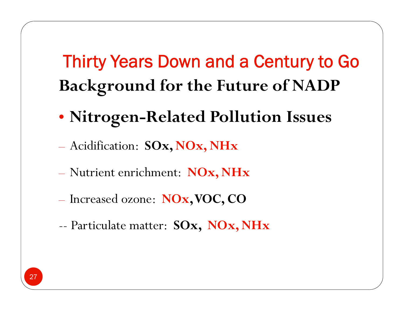# Thirty Years Down and a Century to Go **Background for the Future of NADP**

- **Nitrogen-Related Pollution Issues**
- Acidification: **SOx, NOx, NHx**
- –Nutrient enrichment: **NOx, NHx**
- Increased ozone: **NOx, VOC, CO**
- --Particulate matter: **SOx, NOx, NHx**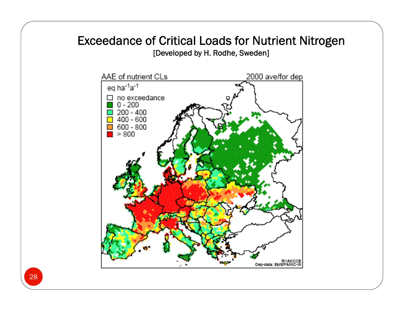#### Exceedance of Critical Loads for Nutrient Nitrogen [Developed by H. Rodhe, Sweden]

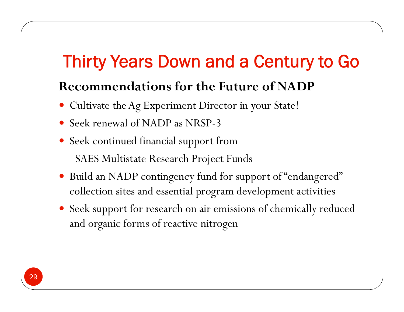### **Recommendations for the Future of NADP**

- Cultivate the Ag Experiment Director in your State!
- Seek renewal of NADP as NRSP-3
- Seek continued financial support from SAES Multistate Research Project Funds
- $\bullet$ • Build an NADP contingency fund for support of "endangered" collection sites and essential program development activities
- Seek support for research on air emissions of chemically reduced and organic forms of reactive nitrogen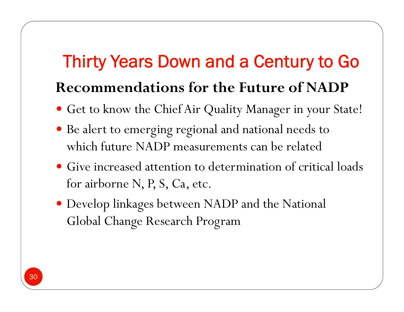## Thirty Years Down and a Century to Go **Recommendations for the Future of NADP**

- Get to know the Chief Air Quality Manager in your State!
- $\bullet$  Be alert to emerging regional and national needs to which future NADP measurements can be related
- Give increased attention to determination of critical loads for airborne N, P, S, Ca, etc.
- Develop linkages between NADP and the National Global Change Research Program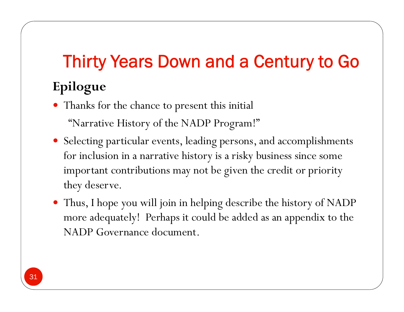Thanks for the chance to present this initial

"Narrative History of the NADP Program!"

- Selecting particular events, leading persons, and accomplishments for inclusion in a narrative history is a risky business since some important contributions may not be given the credit or priority they deserve.
- Thus, I hope you will join in helping describe the history of NADP more adequately! Perhaps it could be added as an appendix to the NADP Governance document.